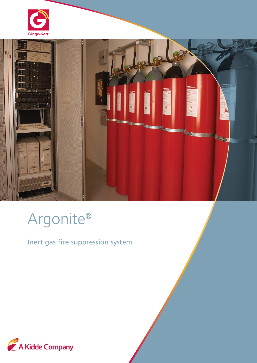



# Argonite®

Inert gas fire suppression system

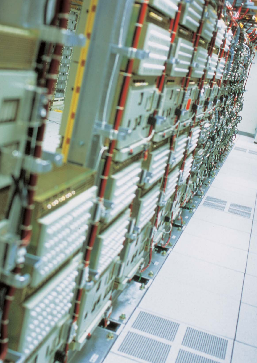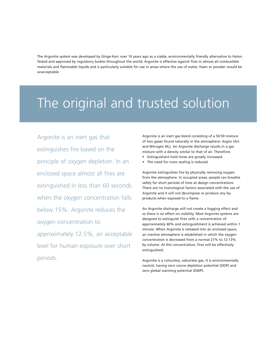The Argonite system was developed by Ginge-Kerr over 10 years ago as a viable, environmentally friendly alternative to Halon. Tested and approved by regulatory bodies throughout the world, Argonite is effective against fires in almost all combustible materials and flammable liquids and is particularly suitable for use in areas where the use of water, foam or powder would be unacceptable.

# The original and trusted solution

Argonite is an inert gas that extinguishes fire based on the principle of oxygen depletion. In an enclosed space almost all fires are extinguished in less than 60 seconds when the oxygen concentration falls below 15%. Argonite reduces the oxygen concentration to approximately 12.5%, an acceptable level for human exposure over short periods.

Argonite is an inert gas blend consisting of a 50:50 mixture of two gases found naturally in the atmosphere: Argon (Ar) and Nitrogen (N<sub>2</sub>). An Argonite discharge results in a gas mixture with a density similar to that of air. Therefore:

- Extinguishant hold times are greatly increased.
- The need for room sealing is reduced.

Argonite extinguishes fire by physically removing oxygen from the atmosphere. In occupied areas, people can breathe safely for short periods of time at design concentrations. There are no toxicological factors associated with the use of Argonite and it will not decompose or produce any byproducts when exposed to a flame.

An Argonite discharge will not create a fogging effect and so there is no effect on visibility. Most Argonite systems are designed to extinguish fires with a concentration of approximately 40% and extinguishment is achieved within 1 minute. When Argonite is released into an enclosed space, an inactive atmosphere is established in which the oxygen concentration is decreased from a normal 21% to 12-13% by volume. At this concentration, fires will be effectively extinguished.

Argonite is a colourless, odourless gas. It is environmentally neutral, having zero ozone depletion potential (ODP) and zero global warming potential (GWP).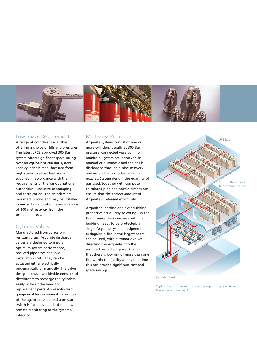

#### Low Space Requirement

A range of cylinders is available offering a choice of fills and pressures. The latest LPCB approved 300 Bar system offers significant space saving over an equivalent 200 Bar system. Each cylinder is manufactured from high strength alloy steel and is supplied in accordance with the requirements of the various national authorities – inclusive of stamping and certification. The cylinders are mounted in rows and may be installed in any suitable location, even in excess of 100 metres away from the protected areas.

#### Cylinder Valves

Manufactured from corrosionresistant brass, Argonite discharge valves are designed to ensure optimum system performance, reduced pipe sizes and low installation costs. They can be actuated either electrically, pnuematically or manually. The valve design allows a worldwide network of distributors to recharge the cylinders easily without the need for replacement parts. An easy-to-read gauge enables convenient inspection of the agent pressure and a pressure switch is fitted as standard to allow remote monitoring of the system's integrity.

#### Multi-area Protection

Argonite systems consist of one or more cylinders, usually at 300 Bar pressure, connected via a common manifold. System actuation can be manual or automatic and the gas is discharged through a pipe network and enters the protected area via nozzles. System design, the quantity of gas used, together with computer calculated pipe and nozzle dimensions ensure that the correct amount of Argonite is released effectively.

Argonite's inerting and extinguishing properties act quickly to extinguish the fire. If more than one area within a building needs to be protected, a single Argonite system, designed to extinguish a fire in the largest room, can be used, with automatic valves directing the Argonite into the required protected space. Provided that there is low risk of more than one fire within the facility at any one time, this can provide significant cost and space savings.



Typical Argonite system protecting separate spaces from the same cylinder bank.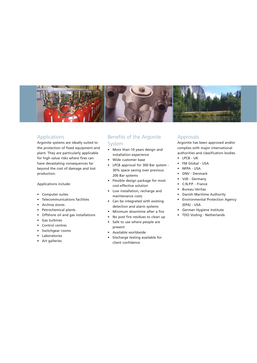

#### Applications

Argonite systems are ideally suited to the protection of fixed equipment and plant. They are particularly applicable for high value risks where fires can have devastating consequences far beyond the cost of damage and lost production.

#### Applications include:

- Computer suites
- Telecommunications facilities
- Archive stores
- Petrochemical plants
- Offshore oil and gas installations
- Gas turbines
- Control centres
- Switchgear rooms
- Laboratories
- Art galleries

### Benefits of the Argonite System

- More than 10 years design and installation experience
- Wide customer base
- LPCB approval for 300 Bar system 30% space saving over previous 200 Bar systems
- Flexible design package for most cost-effective solution
- Low installation, recharge and maintenance costs
- Can be integrated with existing detection and alarm systems
- Minimum downtime after a fire
- No post fire residues to clean up
- Safe to use where people are
- present
- Available worldwide
- Discharge testing available for client confidence

#### Approvals

Argonite has been approved and/or complies with major international authorities and classification bodies.

- LPCB UK
- FM Global USA
- NFPA USA
- DNV Denmark
- VdS Germany
- C.N.P.P. France
- Bureau Veritas
- Danish Maritime Authority
- Environmental Protection Agency (EPA) - USA
- German Hygiene Institute
- TDO Voding Netherlands